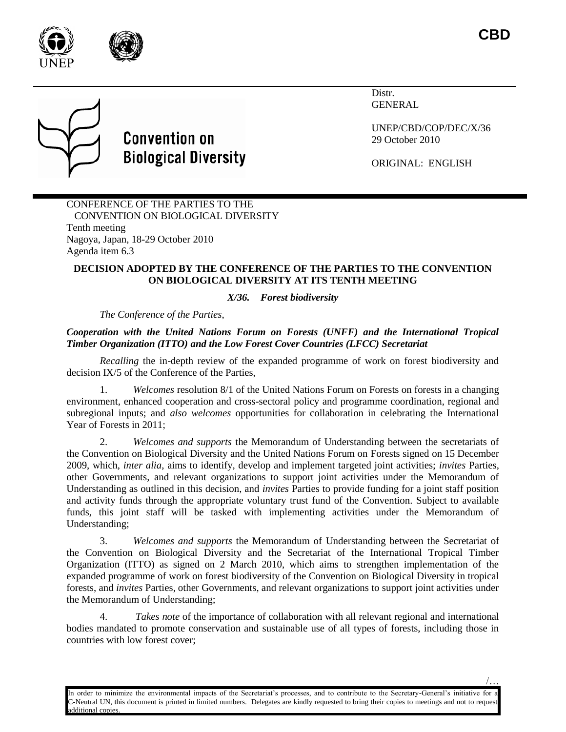

/…



# **Convention on Biological Diversity**

Distr. GENERAL

UNEP/CBD/COP/DEC/X/36 29 October 2010

ORIGINAL: ENGLISH

# CONFERENCE OF THE PARTIES TO THE CONVENTION ON BIOLOGICAL DIVERSITY Tenth meeting Nagoya, Japan, 18-29 October 2010 Agenda item 6.3

# **DECISION ADOPTED BY THE CONFERENCE OF THE PARTIES TO THE CONVENTION ON BIOLOGICAL DIVERSITY AT ITS TENTH MEETING**

# *X/36. Forest biodiversity*

*The Conference of the Parties*,

# *Cooperation with the United Nations Forum on Forests (UNFF) and the International Tropical Timber Organization (ITTO) and the Low Forest Cover Countries (LFCC) Secretariat*

*Recalling* the in-depth review of the expanded programme of work on forest biodiversity and decision IX/5 of the Conference of the Parties,

1. *Welcomes* resolution 8/1 of the United Nations Forum on Forests on forests in a changing environment, enhanced cooperation and cross-sectoral policy and programme coordination, regional and subregional inputs; and *also welcomes* opportunities for collaboration in celebrating the International Year of Forests in 2011;

2. *Welcomes and supports* the Memorandum of Understanding between the secretariats of the Convention on Biological Diversity and the United Nations Forum on Forests signed on 15 December 2009, which, *inter alia*, aims to identify, develop and implement targeted joint activities; *invites* Parties, other Governments, and relevant organizations to support joint activities under the Memorandum of Understanding as outlined in this decision, and *invites* Parties to provide funding for a joint staff position and activity funds through the appropriate voluntary trust fund of the Convention. Subject to available funds, this joint staff will be tasked with implementing activities under the Memorandum of Understanding;

3. *Welcomes and supports* the Memorandum of Understanding between the Secretariat of the Convention on Biological Diversity and the Secretariat of the International Tropical Timber Organization (ITTO) as signed on 2 March 2010, which aims to strengthen implementation of the expanded programme of work on forest biodiversity of the Convention on Biological Diversity in tropical forests, and *invites* Parties, other Governments, and relevant organizations to support joint activities under the Memorandum of Understanding;

4. *Takes note* of the importance of collaboration with all relevant regional and international bodies mandated to promote conservation and sustainable use of all types of forests, including those in countries with low forest cover;

In order to minimize the environmental impacts of the Secretariat's processes, and to contribute to the Secretary-General's initiative for a -Neutral UN, this document is printed in limited numbers. Delegates are kindly requested to bring their copies to meetings and not to request dditional copies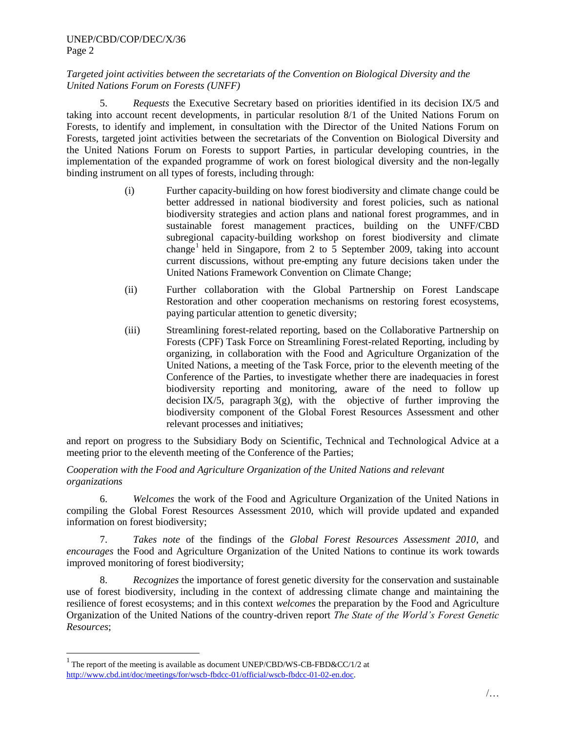#### UNEP/CBD/COP/DEC/X/36 Page 2

### *Targeted joint activities between the secretariats of the Convention on Biological Diversity and the United Nations Forum on Forests (UNFF)*

5. *Requests* the Executive Secretary based on priorities identified in its decision IX/5 and taking into account recent developments, in particular resolution 8/1 of the United Nations Forum on Forests, to identify and implement, in consultation with the Director of the United Nations Forum on Forests, targeted joint activities between the secretariats of the Convention on Biological Diversity and the United Nations Forum on Forests to support Parties, in particular developing countries, in the implementation of the expanded programme of work on forest biological diversity and the non-legally binding instrument on all types of forests, including through:

- (i) Further capacity-building on how forest biodiversity and climate change could be better addressed in national biodiversity and forest policies, such as national biodiversity strategies and action plans and national forest programmes, and in sustainable forest management practices, building on the UNFF/CBD subregional capacity-building workshop on forest biodiversity and climate change<sup>1</sup> held in Singapore, from 2 to 5 September 2009, taking into account current discussions, without pre-empting any future decisions taken under the United Nations Framework Convention on Climate Change;
- (ii) Further collaboration with the Global Partnership on Forest Landscape Restoration and other cooperation mechanisms on restoring forest ecosystems, paying particular attention to genetic diversity;
- (iii) Streamlining forest-related reporting, based on the Collaborative Partnership on Forests (CPF) Task Force on Streamlining Forest-related Reporting, including by organizing, in collaboration with the Food and Agriculture Organization of the United Nations, a meeting of the Task Force, prior to the eleventh meeting of the Conference of the Parties, to investigate whether there are inadequacies in forest biodiversity reporting and monitoring, aware of the need to follow up decision IX/5, paragraph  $3(g)$ , with the objective of further improving the biodiversity component of the Global Forest Resources Assessment and other relevant processes and initiatives;

and report on progress to the Subsidiary Body on Scientific, Technical and Technological Advice at a meeting prior to the eleventh meeting of the Conference of the Parties;

#### *Cooperation with the Food and Agriculture Organization of the United Nations and relevant organizations*

6. *Welcomes* the work of the Food and Agriculture Organization of the United Nations in compiling the Global Forest Resources Assessment 2010, which will provide updated and expanded information on forest biodiversity;

7. *Takes note* of the findings of the *Global Forest Resources Assessment 2010*, and *encourages* the Food and Agriculture Organization of the United Nations to continue its work towards improved monitoring of forest biodiversity;

8. *Recognizes* the importance of forest genetic diversity for the conservation and sustainable use of forest biodiversity, including in the context of addressing climate change and maintaining the resilience of forest ecosystems; and in this context *welcomes* the preparation by the Food and Agriculture Organization of the United Nations of the country-driven report *The State of the World's Forest Genetic Resources*;

l

<sup>&</sup>lt;sup>1</sup> The report of the meeting is available as document UNEP/CBD/WS-CB-FBD&CC/1/2 at [http://www.cbd.int/doc/meetings/for/wscb-fbdcc-01/official/wscb-fbdcc-01-02-en.doc.](http://www.cbd.int/doc/meetings/for/wscb-fbdcc-01/official/wscb-fbdcc-01-02-en.doc)